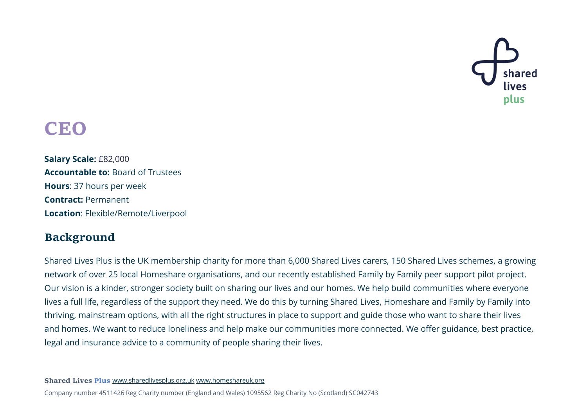

# **CEO**

**Salary Scale:** £82,000 **Accountable to:** Board of Trustees **Hours**: 37 hours per week **Contract:** Permanent **Location**: Flexible/Remote/Liverpool

# **Background**

Shared Lives Plus is the UK membership charity for more than 6,000 Shared Lives carers, 150 Shared Lives schemes, a growing network of over 25 local Homeshare organisations, and our recently established Family by Family peer support pilot project. Our vision is a kinder, stronger society built on sharing our lives and our homes. We help build communities where everyone lives a full life, regardless of the support they need. We do this by turning Shared Lives, Homeshare and Family by Family into thriving, mainstream options, with all the right structures in place to support and guide those who want to share their lives and homes. We want to reduce loneliness and help make our communities more connected. We offer guidance, best practice, legal and insurance advice to a community of people sharing their lives.

**Shared Lives Plus** [www.sharedlivesplus.org.uk](http://www.sharedlivesplus.org.uk/) [www.homeshareuk.org](http://www.homeshareuk.org/)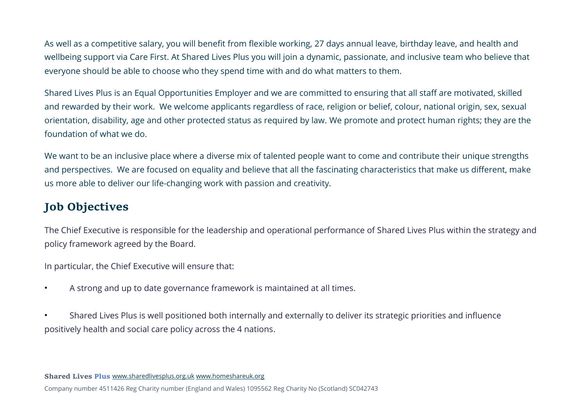As well as a competitive salary, you will benefit from flexible working, 27 days annual leave, birthday leave, and health and wellbeing support via Care First. At Shared Lives Plus you will join a dynamic, passionate, and inclusive team who believe that everyone should be able to choose who they spend time with and do what matters to them.

Shared Lives Plus is an Equal Opportunities Employer and we are committed to ensuring that all staff are motivated, skilled and rewarded by their work. We welcome applicants regardless of race, religion or belief, colour, national origin, sex, sexual orientation, disability, age and other protected status as required by law. [We promote and protect human rights; they are the](https://sharedlivesplus.org.uk/shared-living-and-human-rights/)  [foundation of what we do.](https://sharedlivesplus.org.uk/shared-living-and-human-rights/)

We want to be an inclusive place where a diverse mix of talented people want to come and contribute their unique strengths and perspectives. We are focused on equality and believe that all the fascinating characteristics that make us different, make us more able to deliver our life-changing work with passion and creativity.

# **Job Objectives**

The Chief Executive is responsible for the leadership and operational performance of Shared Lives Plus within the strategy and policy framework agreed by the Board.

In particular, the Chief Executive will ensure that:

• A strong and up to date governance framework is maintained at all times.

• Shared Lives Plus is well positioned both internally and externally to deliver its strategic priorities and influence positively health and social care policy across the 4 nations.

**Shared Lives Plus** [www.sharedlivesplus.org.uk](http://www.sharedlivesplus.org.uk/) [www.homeshareuk.org](http://www.homeshareuk.org/)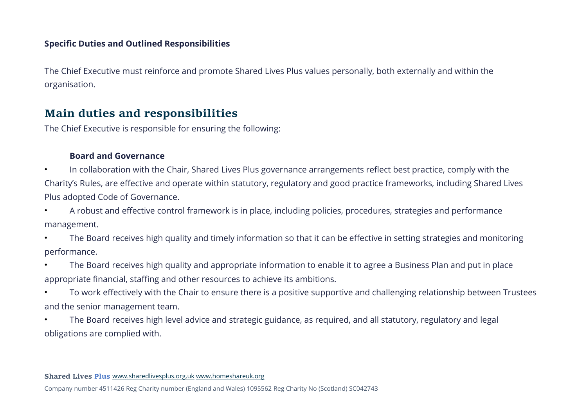## **Specific Duties and Outlined Responsibilities**

The Chief Executive must reinforce and promote Shared Lives Plus values personally, both externally and within the organisation.

# **Main duties and responsibilities**

The Chief Executive is responsible for ensuring the following:

#### **Board and Governance**

• In collaboration with the Chair, Shared Lives Plus governance arrangements reflect best practice, comply with the Charity's Rules, are effective and operate within statutory, regulatory and good practice frameworks, including Shared Lives Plus adopted Code of Governance.

• A robust and effective control framework is in place, including policies, procedures, strategies and performance management.

• The Board receives high quality and timely information so that it can be effective in setting strategies and monitoring performance.

• The Board receives high quality and appropriate information to enable it to agree a Business Plan and put in place appropriate financial, staffing and other resources to achieve its ambitions.

• To work effectively with the Chair to ensure there is a positive supportive and challenging relationship between Trustees and the senior management team.

• The Board receives high level advice and strategic guidance, as required, and all statutory, regulatory and legal obligations are complied with.

**Shared Lives Plus** [www.sharedlivesplus.org.uk](http://www.sharedlivesplus.org.uk/) [www.homeshareuk.org](http://www.homeshareuk.org/)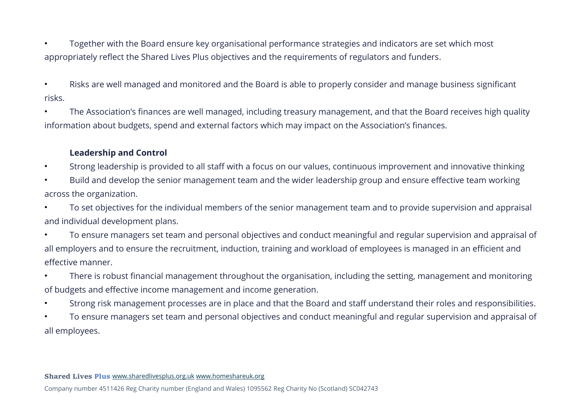• Together with the Board ensure key organisational performance strategies and indicators are set which most appropriately reflect the Shared Lives Plus objectives and the requirements of regulators and funders.

• Risks are well managed and monitored and the Board is able to properly consider and manage business significant risks.

• The Association's finances are well managed, including treasury management, and that the Board receives high quality information about budgets, spend and external factors which may impact on the Association's finances.

## **Leadership and Control**

- Strong leadership is provided to all staff with a focus on our values, continuous improvement and innovative thinking
- Build and develop the senior management team and the wider leadership group and ensure effective team working across the organization.
- To set objectives for the individual members of the senior management team and to provide supervision and appraisal and individual development plans.
- To ensure managers set team and personal objectives and conduct meaningful and regular supervision and appraisal of all employers and to ensure the recruitment, induction, training and workload of employees is managed in an efficient and effective manner.
- There is robust financial management throughout the organisation, including the setting, management and monitoring of budgets and effective income management and income generation.
- Strong risk management processes are in place and that the Board and staff understand their roles and responsibilities.
- To ensure managers set team and personal objectives and conduct meaningful and regular supervision and appraisal of all employees.

**Shared Lives Plus** [www.sharedlivesplus.org.uk](http://www.sharedlivesplus.org.uk/) [www.homeshareuk.org](http://www.homeshareuk.org/)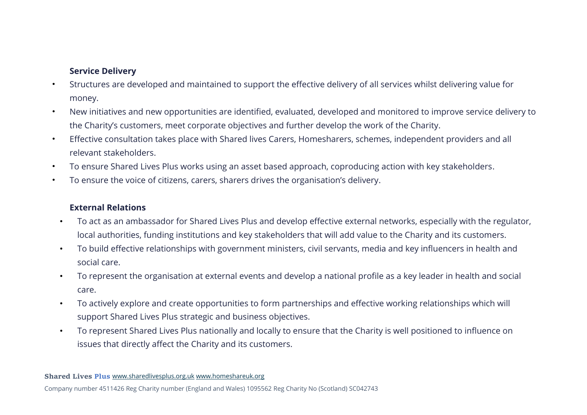## **Service Delivery**

- Structures are developed and maintained to support the effective delivery of all services whilst delivering value for money.
- New initiatives and new opportunities are identified, evaluated, developed and monitored to improve service delivery to the Charity's customers, meet corporate objectives and further develop the work of the Charity.
- Effective consultation takes place with Shared lives Carers, Homesharers, schemes, independent providers and all relevant stakeholders.
- To ensure Shared Lives Plus works using an asset based approach, coproducing action with key stakeholders.
- To ensure the voice of citizens, carers, sharers drives the organisation's delivery.

#### **External Relations**

- To act as an ambassador for Shared Lives Plus and develop effective external networks, especially with the regulator, local authorities, funding institutions and key stakeholders that will add value to the Charity and its customers.
- To build effective relationships with government ministers, civil servants, media and key influencers in health and social care.
- To represent the organisation at external events and develop a national profile as a key leader in health and social care.
- To actively explore and create opportunities to form partnerships and effective working relationships which will support Shared Lives Plus strategic and business objectives.
- To represent Shared Lives Plus nationally and locally to ensure that the Charity is well positioned to influence on issues that directly affect the Charity and its customers.

**Shared Lives Plus** [www.sharedlivesplus.org.uk](http://www.sharedlivesplus.org.uk/) [www.homeshareuk.org](http://www.homeshareuk.org/)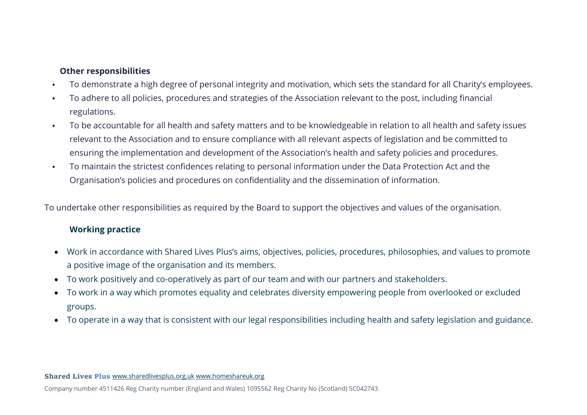#### **Other responsibilities**

- To demonstrate a high degree of personal integrity and motivation, which sets the standard for all Charity's employees.
- To adhere to all policies, procedures and strategies of the Association relevant to the post, including financial regulations.
- To be accountable for all health and safety matters and to be knowledgeable in relation to all health and safety issues relevant to the Association and to ensure compliance with all relevant aspects of legislation and be committed to ensuring the implementation and development of the Association's health and safety policies and procedures.
- To maintain the strictest confidences relating to personal information under the Data Protection Act and the Organisation's policies and procedures on confidentiality and the dissemination of information.

To undertake other responsibilities as required by the Board to support the objectives and values of the organisation.

## **Working practice**

- Work in accordance with Shared Lives Plus's aims, objectives, policies, procedures, philosophies, and values to promote a positive image of the organisation and its members.
- To work positively and co-operatively as part of our team and with our partners and stakeholders.
- To work in a way which promotes equality and celebrates diversity empowering people from overlooked or excluded groups.
- To operate in a way that is consistent with our legal responsibilities including health and safety legislation and guidance.

**Shared Lives Plus** [www.sharedlivesplus.org.uk](http://www.sharedlivesplus.org.uk/) [www.homeshareuk.org](http://www.homeshareuk.org/)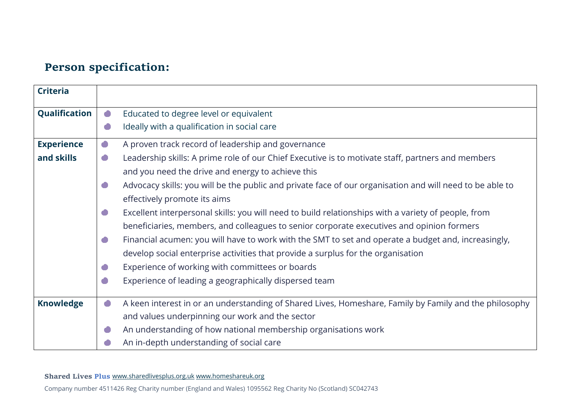# **Person specification:**

| <b>Criteria</b>   |           |                                                                                                          |
|-------------------|-----------|----------------------------------------------------------------------------------------------------------|
| Qualification     | $\bullet$ | Educated to degree level or equivalent                                                                   |
|                   | $\bullet$ | Ideally with a qualification in social care                                                              |
| <b>Experience</b> | $\bullet$ | A proven track record of leadership and governance                                                       |
| and skills        | $\bullet$ | Leadership skills: A prime role of our Chief Executive is to motivate staff, partners and members        |
|                   |           | and you need the drive and energy to achieve this                                                        |
|                   | O         | Advocacy skills: you will be the public and private face of our organisation and will need to be able to |
|                   |           | effectively promote its aims                                                                             |
|                   | $\bullet$ | Excellent interpersonal skills: you will need to build relationships with a variety of people, from      |
|                   |           | beneficiaries, members, and colleagues to senior corporate executives and opinion formers                |
|                   | $\bullet$ | Financial acumen: you will have to work with the SMT to set and operate a budget and, increasingly,      |
|                   |           | develop social enterprise activities that provide a surplus for the organisation                         |
|                   | O         | Experience of working with committees or boards                                                          |
|                   | O         | Experience of leading a geographically dispersed team                                                    |
| <b>Knowledge</b>  | $\bullet$ | A keen interest in or an understanding of Shared Lives, Homeshare, Family by Family and the philosophy   |
|                   |           | and values underpinning our work and the sector                                                          |
|                   | œ         | An understanding of how national membership organisations work                                           |
|                   |           | An in-depth understanding of social care                                                                 |

**Shared Lives Plus** [www.sharedlivesplus.org.uk](http://www.sharedlivesplus.org.uk/) [www.homeshareuk.org](http://www.homeshareuk.org/)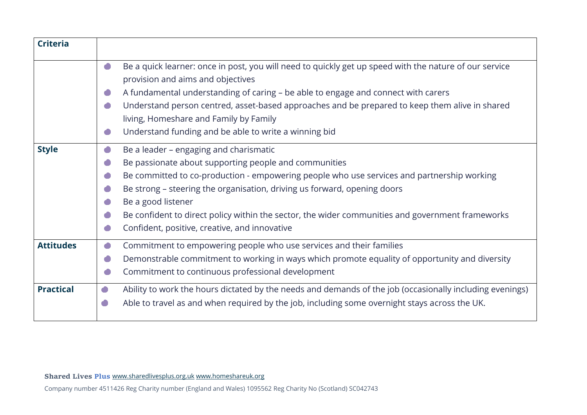| <b>Criteria</b>  |                                                                                                                                                                                                                                                                                                                                                                                                                                                                                       |
|------------------|---------------------------------------------------------------------------------------------------------------------------------------------------------------------------------------------------------------------------------------------------------------------------------------------------------------------------------------------------------------------------------------------------------------------------------------------------------------------------------------|
|                  | Be a quick learner: once in post, you will need to quickly get up speed with the nature of our service<br>$\bullet$<br>provision and aims and objectives<br>A fundamental understanding of caring - be able to engage and connect with carers<br>Œ<br>Understand person centred, asset-based approaches and be prepared to keep them alive in shared<br>œ<br>living, Homeshare and Family by Family<br>Understand funding and be able to write a winning bid<br>O                     |
| <b>Style</b>     | Be a leader - engaging and charismatic<br>$\bullet$<br>Be passionate about supporting people and communities<br>O<br>Be committed to co-production - empowering people who use services and partnership working<br>œ<br>Be strong - steering the organisation, driving us forward, opening doors<br>Be a good listener<br>Be confident to direct policy within the sector, the wider communities and government frameworks<br>O<br>Confident, positive, creative, and innovative<br>œ |
| <b>Attitudes</b> | Commitment to empowering people who use services and their families<br>$\bullet$<br>Demonstrable commitment to working in ways which promote equality of opportunity and diversity<br>O<br>Commitment to continuous professional development                                                                                                                                                                                                                                          |
| <b>Practical</b> | Ability to work the hours dictated by the needs and demands of the job (occasionally including evenings)<br>O<br>Able to travel as and when required by the job, including some overnight stays across the UK.<br>O                                                                                                                                                                                                                                                                   |

**Shared Lives Plus** [www.sharedlivesplus.org.uk](http://www.sharedlivesplus.org.uk/) [www.homeshareuk.org](http://www.homeshareuk.org/)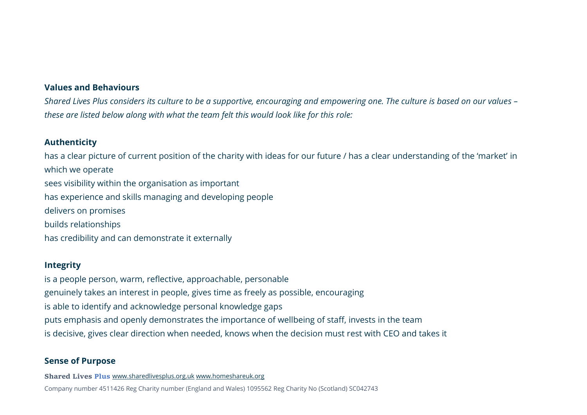#### **Values and Behaviours**

*Shared Lives Plus considers its culture to be a supportive, encouraging and empowering one. The culture is based on our values – these are listed below along with what the team felt this would look like for this role:*

#### **Authenticity**

has a clear picture of current position of the charity with ideas for our future / has a clear understanding of the 'market' in which we operate sees visibility within the organisation as important has experience and skills managing and developing people delivers on promises builds relationships has credibility and can demonstrate it externally

#### **Integrity**

is a people person, warm, reflective, approachable, personable genuinely takes an interest in people, gives time as freely as possible, encouraging is able to identify and acknowledge personal knowledge gaps puts emphasis and openly demonstrates the importance of wellbeing of staff, invests in the team is decisive, gives clear direction when needed, knows when the decision must rest with CEO and takes it

#### **Sense of Purpose**

**Shared Lives Plus** [www.sharedlivesplus.org.uk](http://www.sharedlivesplus.org.uk/) [www.homeshareuk.org](http://www.homeshareuk.org/)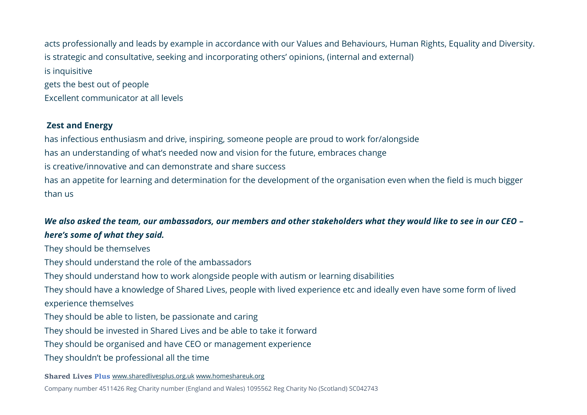acts professionally and leads by example in accordance with our Values and Behaviours, Human Rights, Equality and Diversity. is strategic and consultative, seeking and incorporating others' opinions, (internal and external) is inquisitive gets the best out of people Excellent communicator at all levels

## **Zest and Energy**

has infectious enthusiasm and drive, inspiring, someone people are proud to work for/alongside has an understanding of what's needed now and vision for the future, embraces change is creative/innovative and can demonstrate and share success has an appetite for learning and determination for the development of the organisation even when the field is much bigger than us

## *We also asked the team, our ambassadors, our members and other stakeholders what they would like to see in our CEO – here's some of what they said.*

They should be themselves They should understand the role of the ambassadors They should understand how to work alongside people with autism or learning disabilities They should have a knowledge of Shared Lives, people with lived experience etc and ideally even have some form of lived experience themselves They should be able to listen, be passionate and caring They should be invested in Shared Lives and be able to take it forward They should be organised and have CEO or management experience They shouldn't be professional all the time

#### **Shared Lives Plus** [www.sharedlivesplus.org.uk](http://www.sharedlivesplus.org.uk/) [www.homeshareuk.org](http://www.homeshareuk.org/)